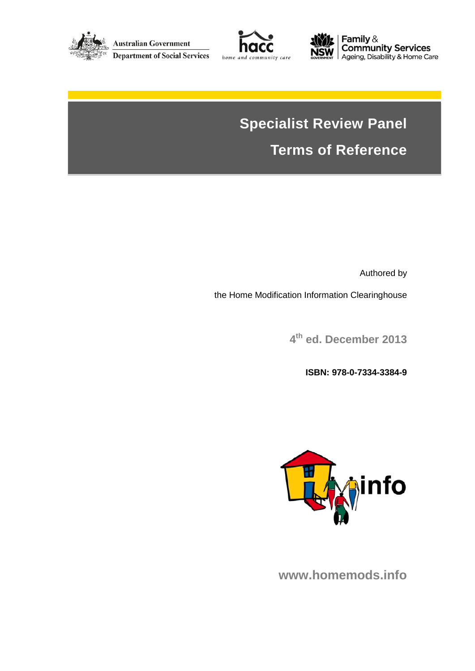





**Family &<br>Community Services<br>Ageing, Disability & Home Care** 

# **Specialist Review Panel Terms of Reference**

Authored by

the Home Modification Information Clearinghouse

**4th ed. December 2013**

**ISBN: 978-0-7334-3384-9** 



**www.homemods.info**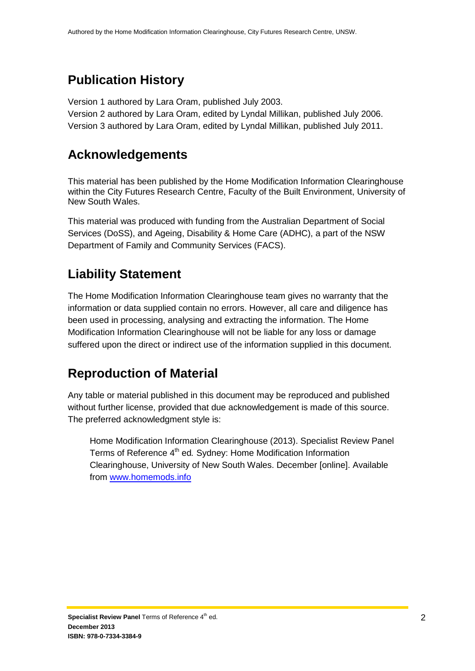#### **Publication History**

Version 1 authored by Lara Oram, published July 2003.

Version 2 authored by Lara Oram, edited by Lyndal Millikan, published July 2006. Version 3 authored by Lara Oram, edited by Lyndal Millikan, published July 2011.

#### **Acknowledgements**

This material has been published by the Home Modification Information Clearinghouse within the City Futures Research Centre, Faculty of the Built Environment, University of New South Wales.

This material was produced with funding from the Australian Department of Social Services (DoSS), and Ageing, Disability & Home Care (ADHC), a part of the NSW Department of Family and Community Services (FACS).

#### **Liability Statement**

The Home Modification Information Clearinghouse team gives no warranty that the information or data supplied contain no errors. However, all care and diligence has been used in processing, analysing and extracting the information. The Home Modification Information Clearinghouse will not be liable for any loss or damage suffered upon the direct or indirect use of the information supplied in this document.

#### **Reproduction of Material**

Any table or material published in this document may be reproduced and published without further license, provided that due acknowledgement is made of this source. The preferred acknowledgment style is:

Home Modification Information Clearinghouse (2013). Specialist Review Panel Terms of Reference 4th ed*.* Sydney: Home Modification Information Clearinghouse, University of New South Wales. December [online]. Available from www.homemods.info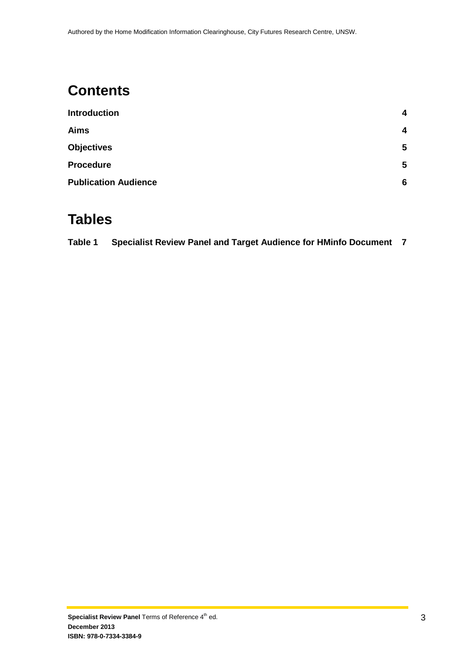## **Contents**

| <b>Introduction</b>         | 4 |  |
|-----------------------------|---|--|
| <b>Aims</b>                 | 4 |  |
| <b>Objectives</b>           | 5 |  |
| <b>Procedure</b>            | 5 |  |
| <b>Publication Audience</b> | 6 |  |

#### **Tables**

| Table 1 | Specialist Review Panel and Target Audience for HMinfo Document 7 |  |
|---------|-------------------------------------------------------------------|--|
|---------|-------------------------------------------------------------------|--|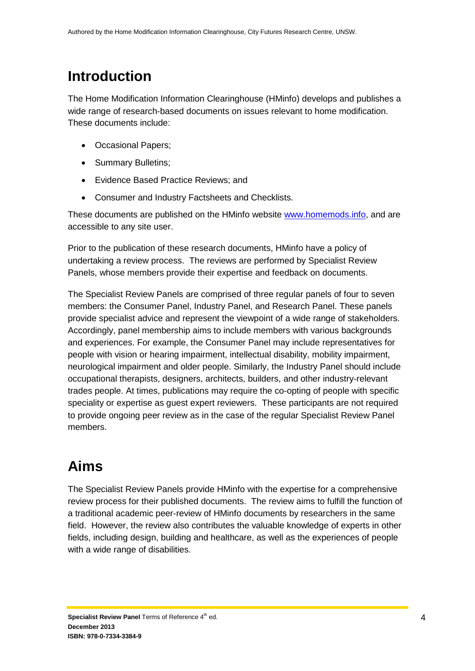## <span id="page-3-0"></span>**Introduction**

The Home Modification Information Clearinghouse (HMinfo) develops and publishes a wide range of research-based documents on issues relevant to home modification. These documents include:

- Occasional Papers;
- Summary Bulletins;
- Evidence Based Practice Reviews; and
- Consumer and Industry Factsheets and Checklists.

These documents are published on the HMinfo website [www.homemods.info,](http://www.homemods.info/) and are accessible to any site user.

Prior to the publication of these research documents, HMinfo have a policy of undertaking a review process. The reviews are performed by Specialist Review Panels, whose members provide their expertise and feedback on documents.

The Specialist Review Panels are comprised of three regular panels of four to seven members: the Consumer Panel, Industry Panel, and Research Panel. These panels provide specialist advice and represent the viewpoint of a wide range of stakeholders. Accordingly, panel membership aims to include members with various backgrounds and experiences. For example, the Consumer Panel may include representatives for people with vision or hearing impairment, intellectual disability, mobility impairment, neurological impairment and older people. Similarly, the Industry Panel should include occupational therapists, designers, architects, builders, and other industry-relevant trades people. At times, publications may require the co-opting of people with specific speciality or expertise as guest expert reviewers. These participants are not required to provide ongoing peer review as in the case of the regular Specialist Review Panel members.

# <span id="page-3-1"></span>**Aims**

The Specialist Review Panels provide HMinfo with the expertise for a comprehensive review process for their published documents. The review aims to fulfill the function of a traditional academic peer-review of HMinfo documents by researchers in the same field. However, the review also contributes the valuable knowledge of experts in other fields, including design, building and healthcare, as well as the experiences of people with a wide range of disabilities.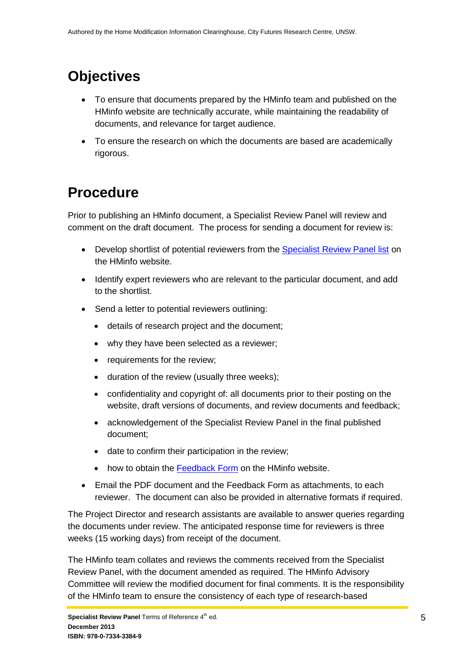# <span id="page-4-0"></span>**Objectives**

- To ensure that documents prepared by the HMinfo team and published on the HMinfo website are technically accurate, while maintaining the readability of documents, and relevance for target audience.
- To ensure the research on which the documents are based are academically rigorous.

## <span id="page-4-1"></span>**Procedure**

Prior to publishing an HMinfo document, a Specialist Review Panel will review and comment on the draft document. The process for sending a document for review is:

- Develop shortlist of potential reviewers from the [Specialist Review Panel list](http://www.homemods.info/about-us/specialist-review-panels) on the HMinfo website.
- Identify expert reviewers who are relevant to the particular document, and add to the shortlist.
- Send a letter to potential reviewers outlining:
	- details of research project and the document;
	- why they have been selected as a reviewer;
	- requirements for the review;
	- duration of the review (usually three weeks);
	- confidentiality and copyright of: all documents prior to their posting on the website, draft versions of documents, and review documents and feedback;
	- acknowledgement of the Specialist Review Panel in the final published document;
	- date to confirm their participation in the review;
	- how to obtain the [Feedback Form](http://www.homemods.info/publications-by-hminfo/administrative-publications/peer-review-feedback-form#main-content) on the HMinfo website.
- Email the PDF document and the Feedback Form as attachments, to each reviewer. The document can also be provided in alternative formats if required.

The Project Director and research assistants are available to answer queries regarding the documents under review. The anticipated response time for reviewers is three weeks (15 working days) from receipt of the document.

The HMinfo team collates and reviews the comments received from the Specialist Review Panel, with the document amended as required. The HMinfo Advisory Committee will review the modified document for final comments. It is the responsibility of the HMinfo team to ensure the consistency of each type of research-based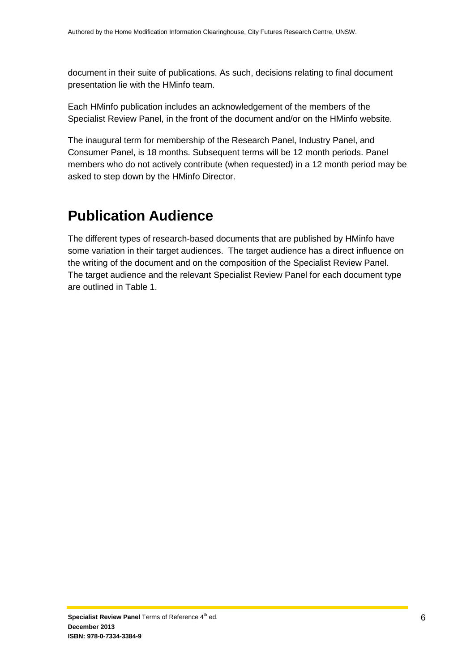document in their suite of publications. As such, decisions relating to final document presentation lie with the HMinfo team.

Each HMinfo publication includes an acknowledgement of the members of the Specialist Review Panel, in the front of the document and/or on the HMinfo website.

The inaugural term for membership of the Research Panel, Industry Panel, and Consumer Panel, is 18 months. Subsequent terms will be 12 month periods. Panel members who do not actively contribute (when requested) in a 12 month period may be asked to step down by the HMinfo Director.

## <span id="page-5-0"></span>**Publication Audience**

The different types of research-based documents that are published by HMinfo have some variation in their target audiences. The target audience has a direct influence on the writing of the document and on the composition of the Specialist Review Panel. The target audience and the relevant Specialist Review Panel for each document type are outlined in Table 1.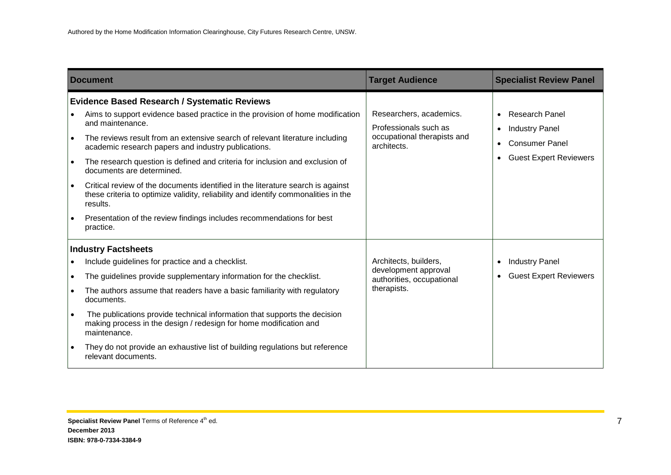|                                                               | <b>Document</b>                                                                                                                                                                                                                                                                                                                                                                                                                                                                                                                                                                                                                                                                         | <b>Target Audience</b>                                                                         | <b>Specialist Review Panel</b>                                                                                                                  |
|---------------------------------------------------------------|-----------------------------------------------------------------------------------------------------------------------------------------------------------------------------------------------------------------------------------------------------------------------------------------------------------------------------------------------------------------------------------------------------------------------------------------------------------------------------------------------------------------------------------------------------------------------------------------------------------------------------------------------------------------------------------------|------------------------------------------------------------------------------------------------|-------------------------------------------------------------------------------------------------------------------------------------------------|
| $\bullet$<br>$\bullet$<br>$\bullet$<br>$\bullet$<br>$\bullet$ | <b>Evidence Based Research / Systematic Reviews</b><br>Aims to support evidence based practice in the provision of home modification<br>and maintenance.<br>The reviews result from an extensive search of relevant literature including<br>academic research papers and industry publications.<br>The research question is defined and criteria for inclusion and exclusion of<br>documents are determined.<br>Critical review of the documents identified in the literature search is against<br>these criteria to optimize validity, reliability and identify commonalities in the<br>results.<br>Presentation of the review findings includes recommendations for best<br>practice. | Researchers, academics.<br>Professionals such as<br>occupational therapists and<br>architects. | <b>Research Panel</b><br><b>Industry Panel</b><br>$\bullet$<br><b>Consumer Panel</b><br>$\bullet$<br><b>Guest Expert Reviewers</b><br>$\bullet$ |
| $\bullet$<br>$\bullet$<br>$\bullet$<br>$\bullet$<br>$\bullet$ | <b>Industry Factsheets</b><br>Include guidelines for practice and a checklist.<br>The guidelines provide supplementary information for the checklist.<br>The authors assume that readers have a basic familiarity with regulatory<br>documents.<br>The publications provide technical information that supports the decision<br>making process in the design / redesign for home modification and<br>maintenance.<br>They do not provide an exhaustive list of building regulations but reference<br>relevant documents.                                                                                                                                                                | Architects, builders,<br>development approval<br>authorities, occupational<br>therapists.      | <b>Industry Panel</b><br>$\bullet$<br><b>Guest Expert Reviewers</b><br>$\bullet$                                                                |